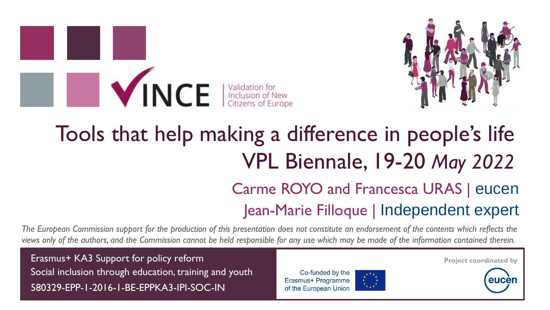

# Tools that help making a difference in people's life VPL Biennale, 19-20 *May 2022* Carme ROYO and Francesca URAS | eucen Jean-Marie Filloque | Independent expert

*The European Commission support for the production of this presentation does not constitute an endorsement of the contents which reflects the views only of the authors, and the Commission cannot be held responsible for any use which may be made of the information contained therein.*

Erasmus+ KA3 Support for policy reform Social inclusion through education, training and youth 580329-EPP-1-2016-1-BE-EPPKA3-IPI-SOC-IN

INCE didation for





**Project coordinated by**

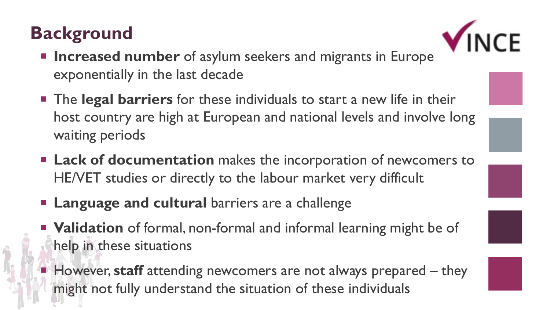#### **Background**



- **Increased number** of asylum seekers and migrants in Europe exponentially in the last decade
- The **legal barriers** for these individuals to start a new life in their host country are high at European and national levels and involve long waiting periods
- **Lack of documentation** makes the incorporation of newcomers to HE/VET studies or directly to the labour market very difficult
- **Language and cultural** barriers are a challenge
- **Validation** of formal, non-formal and informal learning might be of help in these situations
- However, staff attending newcomers are not always prepared they might not fully understand the situation of these individuals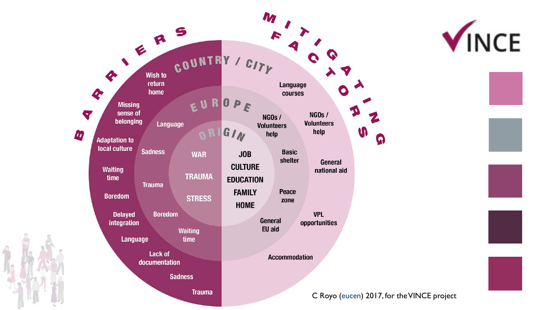

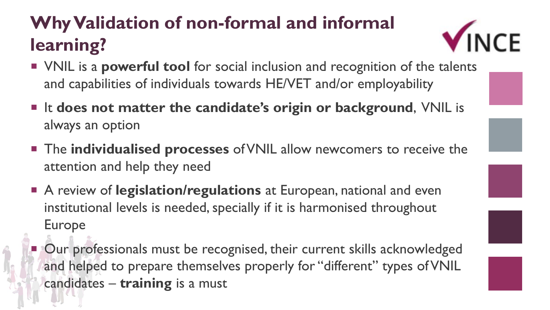# **Why Validation of non-formal and informal learning?**

- VINCE
- VNIL is a **powerful tool** for social inclusion and recognition of the talents and capabilities of individuals towards HE/VET and/or employability
- It does not matter the candidate's origin or background, VNIL is always an option
- The **individualised processes** of VNIL allow newcomers to receive the attention and help they need
- A review of **legislation/regulations** at European, national and even institutional levels is needed, specially if it is harmonised throughout Europe
	- Our professionals must be recognised, their current skills acknowledged and helped to prepare themselves properly for "different" types of VNIL candidates – **training** is a must

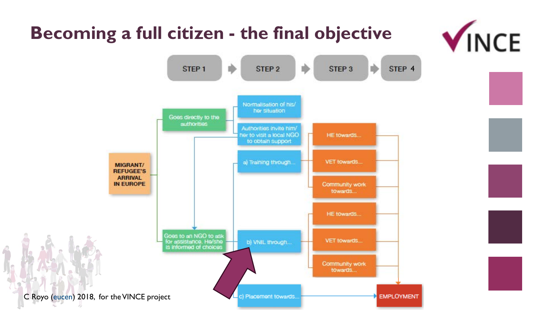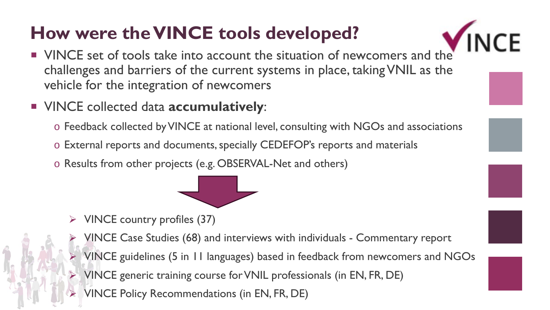# **How were the VINCE tools developed?**

- **INCE**
- VINCE set of tools take into account the situation of newcomers and the challenges and barriers of the current systems in place, taking VNIL as the vehicle for the integration of newcomers
- VINCE collected data **accumulatively**:
	- o Feedback collected by VINCE at national level, consulting with NGOs and associations
	- o External reports and documents, specially CEDEFOP's reports and materials
	- o Results from other projects (e.g. OBSERVAL-Net and others)



- $\triangleright$  VINCE country profiles (37)
	- VINCE Case Studies (68) and interviews with individuals Commentary report
	- VINCE guidelines (5 in 11 languages) based in feedback from newcomers and NGOs
	- VINCE generic training course for VNIL professionals (in EN, FR, DE)
- VINCE Policy Recommendations (in EN, FR, DE)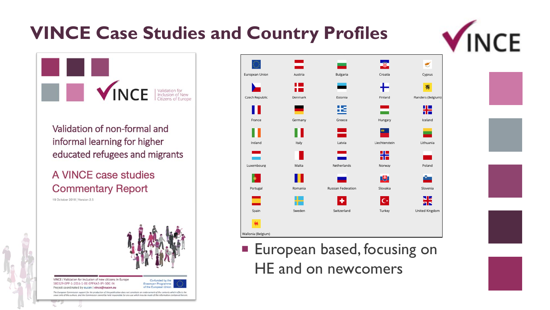#### **VINCE Case Studies and Country Profiles**



**SAULTER SERVER SERVER SERVICE** 

Validation of non-formal and informal learning for higher educated refugees and migrants

#### A VINCE case studies **Commentary Report**

19 October 2018 | Version 2.5





**European based, focusing on** HE and on newcomers

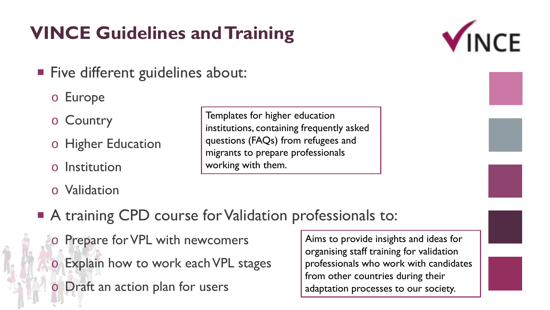# **VINCE Guidelines and Training**

- **Five different guidelines about:** 
	- o Europe
	- o Country
	- o Higher Education
	- o Institution
	- o Validation

Templates for higher education institutions, containing frequently asked questions (FAQs) from refugees and migrants to prepare professionals working with them.

- A training CPD course for Validation professionals to:
	- o Prepare for VPL with newcomers o Explain how to work each VPL stages
	- o Draft an action plan for users

Aims to provide insights and ideas for organising staff training for validation professionals who work with candidates from other countries during their adaptation processes to our society.

VINCE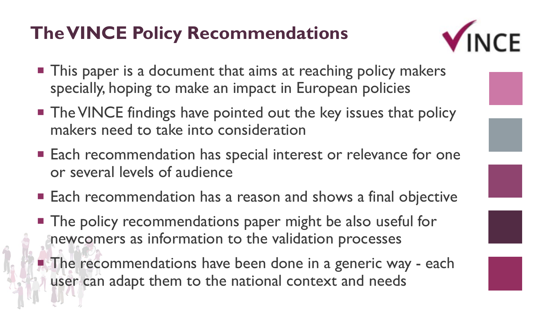### **The VINCE Policy Recommendations**



- This paper is a document that aims at reaching policy makers specially, hoping to make an impact in European policies
- The VINCE findings have pointed out the key issues that policy makers need to take into consideration
- Each recommendation has special interest or relevance for one or several levels of audience
- Each recommendation has a reason and shows a final objective
- The policy recommendations paper might be also useful for newcomers as information to the validation processes
- **The recommendations have been done in a generic way each** user can adapt them to the national context and needs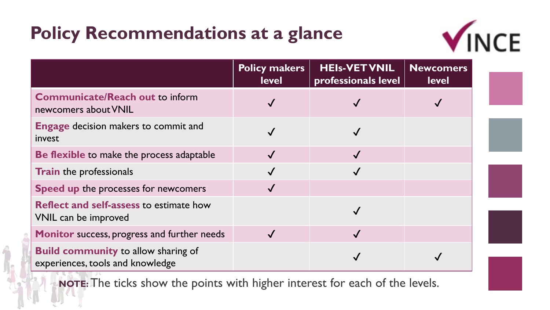## **Policy Recommendations at a glance**



|                                                                                | <b>Policy makers</b><br><b>level</b> | <b>HEIs-VET VNIL</b><br>professionals level | <b>Newcomers</b><br><b>level</b> |  |
|--------------------------------------------------------------------------------|--------------------------------------|---------------------------------------------|----------------------------------|--|
| <b>Communicate/Reach out to inform</b><br>newcomers about VNIL                 |                                      |                                             |                                  |  |
| <b>Engage decision makers to commit and</b><br>invest                          |                                      |                                             |                                  |  |
| Be flexible to make the process adaptable                                      |                                      |                                             |                                  |  |
| <b>Train</b> the professionals                                                 |                                      |                                             |                                  |  |
| Speed up the processes for newcomers                                           |                                      |                                             |                                  |  |
| <b>Reflect and self-assess to estimate how</b><br>VNIL can be improved         |                                      |                                             |                                  |  |
| Monitor success, progress and further needs                                    |                                      |                                             |                                  |  |
| <b>Build community to allow sharing of</b><br>experiences, tools and knowledge |                                      |                                             |                                  |  |

**NOTE:** The ticks show the points with higher interest for each of the levels.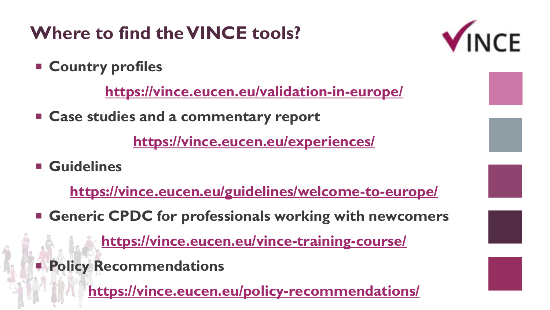# **Where to find the VINCE tools?**

**Country profiles** 

**<https://vince.eucen.eu/validation-in-europe/>**

**Case studies and a commentary report** 

**<https://vince.eucen.eu/experiences/>**

**Guidelines**

**<https://vince.eucen.eu/guidelines/welcome-to-europe/>**

**Generic CPDC for professionals working with newcomers**

**<https://vince.eucen.eu/vince-training-course/>**

**Policy Recommendations** 

**<https://vince.eucen.eu/policy-recommendations/>**

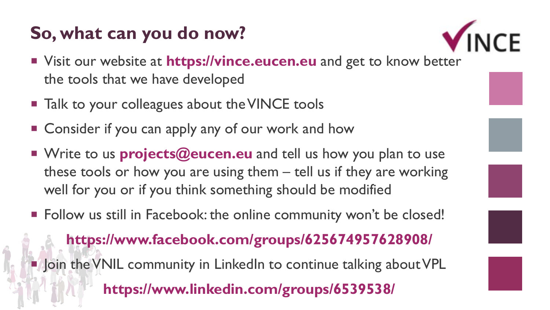#### **So, what can you do now?**



- Visit our website at **https://vince.eucen.eu** and get to know better the tools that we have developed
- **Talk to your colleagues about the VINCE tools**
- Consider if you can apply any of our work and how
- Write to us **projects@eucen.eu** and tell us how you plan to use these tools or how you are using them – tell us if they are working well for you or if you think something should be modified
- Follow us still in Facebook: the online community won't be closed!

**https://www.facebook.com/groups/625674957628908/ Join the VNIL community in LinkedIn to continue talking about VPL https://www.linkedin.com/groups/6539538/**